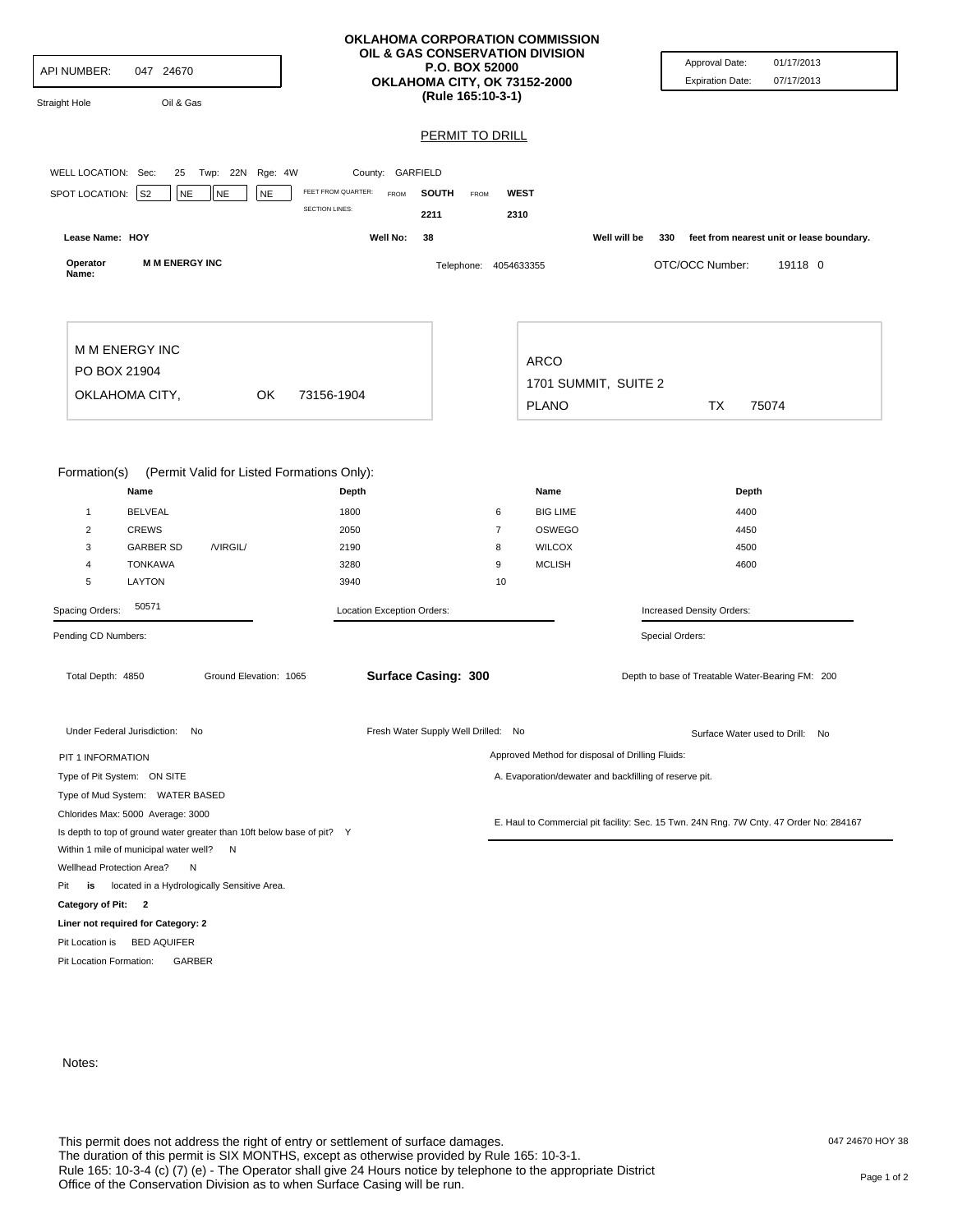|                                                                                  |                                                                                                        |                                                                        |                        | <b>OKLAHOMA CORPORATION COMMISSION</b><br>OIL & GAS CONSERVATION DIVISION<br><b>P.O. BOX 52000</b>                        |                  |                            |                                                        |                                                                     |                      | Approval Date:                                                                         | 01/17/2013                                |  |
|----------------------------------------------------------------------------------|--------------------------------------------------------------------------------------------------------|------------------------------------------------------------------------|------------------------|---------------------------------------------------------------------------------------------------------------------------|------------------|----------------------------|--------------------------------------------------------|---------------------------------------------------------------------|----------------------|----------------------------------------------------------------------------------------|-------------------------------------------|--|
| API NUMBER:<br>047 24670                                                         |                                                                                                        |                                                                        |                        | OKLAHOMA CITY, OK 73152-2000<br>(Rule 165:10-3-1)                                                                         |                  |                            |                                                        |                                                                     |                      | <b>Expiration Date:</b>                                                                | 07/17/2013                                |  |
| Straight Hole                                                                    |                                                                                                        | Oil & Gas                                                              |                        |                                                                                                                           |                  |                            |                                                        |                                                                     |                      |                                                                                        |                                           |  |
|                                                                                  |                                                                                                        |                                                                        |                        |                                                                                                                           |                  | <b>PERMIT TO DRILL</b>     |                                                        |                                                                     |                      |                                                                                        |                                           |  |
| WELL LOCATION: Sec:                                                              |                                                                                                        | Twp: 22N Rge: 4W<br>25                                                 |                        |                                                                                                                           | County: GARFIELD |                            |                                                        |                                                                     |                      |                                                                                        |                                           |  |
| SPOT LOCATION:                                                                   | S2                                                                                                     | <b>NE</b><br><b>NE</b>                                                 | <b>NE</b>              | FEET FROM QUARTER:<br><b>SECTION LINES:</b>                                                                               | FROM             | <b>SOUTH</b><br>FROM       |                                                        | <b>WEST</b>                                                         |                      |                                                                                        |                                           |  |
| Lease Name: HOY                                                                  |                                                                                                        |                                                                        |                        | Well No:                                                                                                                  | 2211<br>38       |                            | 2310                                                   |                                                                     | Well will be         | 330                                                                                    | feet from nearest unit or lease boundary. |  |
| Operator<br>Name:                                                                |                                                                                                        | <b>M M ENERGY INC</b>                                                  |                        |                                                                                                                           |                  | Telephone: 4054633355      |                                                        |                                                                     |                      | OTC/OCC Number:                                                                        | 19118 0                                   |  |
|                                                                                  | M M ENERGY INC                                                                                         |                                                                        |                        |                                                                                                                           |                  |                            |                                                        |                                                                     |                      |                                                                                        |                                           |  |
| PO BOX 21904                                                                     |                                                                                                        |                                                                        |                        |                                                                                                                           |                  |                            | <b>ARCO</b>                                            |                                                                     |                      |                                                                                        |                                           |  |
|                                                                                  | OKLAHOMA CITY,                                                                                         |                                                                        | OK                     | 73156-1904                                                                                                                |                  |                            |                                                        |                                                                     | 1701 SUMMIT, SUITE 2 |                                                                                        |                                           |  |
|                                                                                  |                                                                                                        |                                                                        |                        |                                                                                                                           |                  |                            | <b>PLANO</b>                                           |                                                                     | TX<br>75074          |                                                                                        |                                           |  |
| Formation(s)<br>$\mathbf{1}$<br>$\overline{c}$<br>3<br>4<br>5<br>Spacing Orders: | Name<br><b>BELVEAL</b><br><b>CREWS</b><br><b>GARBER SD</b><br><b>TONKAWA</b><br><b>LAYTON</b><br>50571 | /VIRGIL/                                                               |                        | (Permit Valid for Listed Formations Only):<br>Depth<br>1800<br>2050<br>2190<br>3280<br>3940<br>Location Exception Orders: |                  |                            | 6<br>7<br>8<br>9<br>10                                 | Name<br><b>BIG LIME</b><br>OSWEGO<br><b>WILCOX</b><br><b>MCLISH</b> |                      | Depth<br>4400<br>4450<br>4500<br>4600<br>Increased Density Orders:                     |                                           |  |
| Pending CD Numbers:                                                              |                                                                                                        |                                                                        |                        |                                                                                                                           |                  |                            |                                                        |                                                                     |                      | Special Orders:                                                                        |                                           |  |
| Total Depth: 4850                                                                |                                                                                                        |                                                                        | Ground Elevation: 1065 |                                                                                                                           |                  | <b>Surface Casing: 300</b> |                                                        |                                                                     |                      | Depth to base of Treatable Water-Bearing FM: 200                                       |                                           |  |
| Under Federal Jurisdiction: No                                                   |                                                                                                        |                                                                        |                        | Fresh Water Supply Well Drilled: No                                                                                       |                  |                            |                                                        |                                                                     |                      | Surface Water used to Drill: No                                                        |                                           |  |
| PIT 1 INFORMATION                                                                |                                                                                                        |                                                                        |                        |                                                                                                                           |                  |                            |                                                        | Approved Method for disposal of Drilling Fluids:                    |                      |                                                                                        |                                           |  |
| Type of Pit System: ON SITE                                                      |                                                                                                        |                                                                        |                        |                                                                                                                           |                  |                            | A. Evaporation/dewater and backfilling of reserve pit. |                                                                     |                      |                                                                                        |                                           |  |
| Type of Mud System: WATER BASED                                                  |                                                                                                        |                                                                        |                        |                                                                                                                           |                  |                            |                                                        |                                                                     |                      |                                                                                        |                                           |  |
| Chlorides Max: 5000 Average: 3000                                                |                                                                                                        |                                                                        |                        |                                                                                                                           |                  |                            |                                                        |                                                                     |                      | E. Haul to Commercial pit facility: Sec. 15 Twn. 24N Rng. 7W Cnty. 47 Order No: 284167 |                                           |  |
| Within 1 mile of municipal water well? N                                         |                                                                                                        | Is depth to top of ground water greater than 10ft below base of pit? Y |                        |                                                                                                                           |                  |                            |                                                        |                                                                     |                      |                                                                                        |                                           |  |
| Wellhead Protection Area?                                                        |                                                                                                        | N                                                                      |                        |                                                                                                                           |                  |                            |                                                        |                                                                     |                      |                                                                                        |                                           |  |
| Pit<br>is                                                                        |                                                                                                        | located in a Hydrologically Sensitive Area.                            |                        |                                                                                                                           |                  |                            |                                                        |                                                                     |                      |                                                                                        |                                           |  |
| Category of Pit: 2                                                               |                                                                                                        |                                                                        |                        |                                                                                                                           |                  |                            |                                                        |                                                                     |                      |                                                                                        |                                           |  |
| Liner not required for Category: 2                                               |                                                                                                        |                                                                        |                        |                                                                                                                           |                  |                            |                                                        |                                                                     |                      |                                                                                        |                                           |  |
| Pit Location is                                                                  | <b>BED AQUIFER</b>                                                                                     |                                                                        |                        |                                                                                                                           |                  |                            |                                                        |                                                                     |                      |                                                                                        |                                           |  |
| Pit Location Formation:                                                          |                                                                                                        | GARBER                                                                 |                        |                                                                                                                           |                  |                            |                                                        |                                                                     |                      |                                                                                        |                                           |  |

Notes: